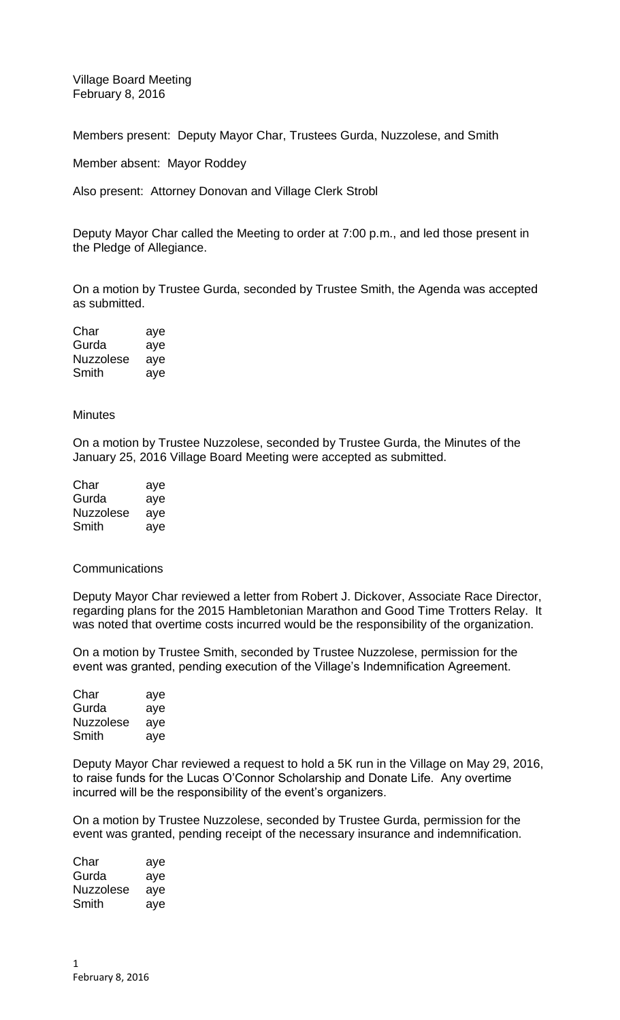Village Board Meeting February 8, 2016

Members present: Deputy Mayor Char, Trustees Gurda, Nuzzolese, and Smith

Member absent: Mayor Roddey

Also present: Attorney Donovan and Village Clerk Strobl

Deputy Mayor Char called the Meeting to order at 7:00 p.m., and led those present in the Pledge of Allegiance.

On a motion by Trustee Gurda, seconded by Trustee Smith, the Agenda was accepted as submitted.

| Char      | aye |
|-----------|-----|
| Gurda     | aye |
| Nuzzolese | aye |
| Smith     | aye |

## **Minutes**

On a motion by Trustee Nuzzolese, seconded by Trustee Gurda, the Minutes of the January 25, 2016 Village Board Meeting were accepted as submitted.

| Char      | aye |
|-----------|-----|
| Gurda     | aye |
| Nuzzolese | aye |
| Smith     | ave |

## Communications

Deputy Mayor Char reviewed a letter from Robert J. Dickover, Associate Race Director, regarding plans for the 2015 Hambletonian Marathon and Good Time Trotters Relay. It was noted that overtime costs incurred would be the responsibility of the organization.

On a motion by Trustee Smith, seconded by Trustee Nuzzolese, permission for the event was granted, pending execution of the Village's Indemnification Agreement.

| Char      | aye |
|-----------|-----|
| Gurda     | aye |
| Nuzzolese | ave |
| Smith     | ave |

Deputy Mayor Char reviewed a request to hold a 5K run in the Village on May 29, 2016, to raise funds for the Lucas O'Connor Scholarship and Donate Life. Any overtime incurred will be the responsibility of the event's organizers.

On a motion by Trustee Nuzzolese, seconded by Trustee Gurda, permission for the event was granted, pending receipt of the necessary insurance and indemnification.

| Char             | aye |
|------------------|-----|
| Gurda            | aye |
| <b>Nuzzolese</b> | aye |
| Smith            | ave |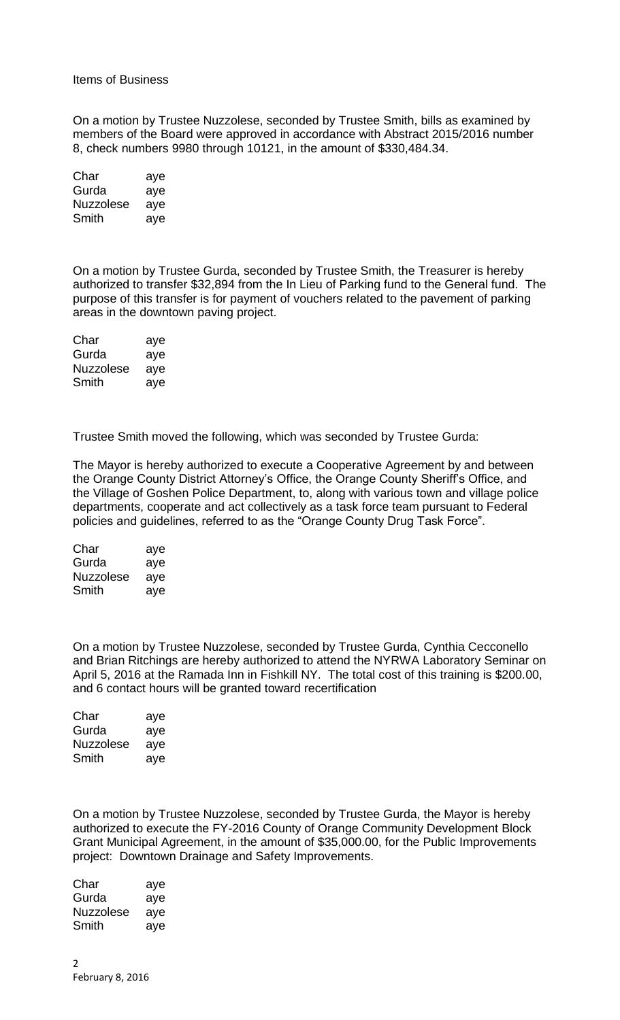## Items of Business

On a motion by Trustee Nuzzolese, seconded by Trustee Smith, bills as examined by members of the Board were approved in accordance with Abstract 2015/2016 number 8, check numbers 9980 through 10121, in the amount of \$330,484.34.

| Char             | aye |
|------------------|-----|
| Gurda            | aye |
| <b>Nuzzolese</b> | aye |
| Smith            | aye |

On a motion by Trustee Gurda, seconded by Trustee Smith, the Treasurer is hereby authorized to transfer \$32,894 from the In Lieu of Parking fund to the General fund. The purpose of this transfer is for payment of vouchers related to the pavement of parking areas in the downtown paving project.

| Char      | aye |
|-----------|-----|
| Gurda     | aye |
| Nuzzolese | aye |
| Smith     | aye |

Trustee Smith moved the following, which was seconded by Trustee Gurda:

The Mayor is hereby authorized to execute a Cooperative Agreement by and between the Orange County District Attorney's Office, the Orange County Sheriff's Office, and the Village of Goshen Police Department, to, along with various town and village police departments, cooperate and act collectively as a task force team pursuant to Federal policies and guidelines, referred to as the "Orange County Drug Task Force".

| Char             | aye |
|------------------|-----|
| Gurda            | aye |
| <b>Nuzzolese</b> | aye |
| Smith            | aye |

On a motion by Trustee Nuzzolese, seconded by Trustee Gurda, Cynthia Cecconello and Brian Ritchings are hereby authorized to attend the NYRWA Laboratory Seminar on April 5, 2016 at the Ramada Inn in Fishkill NY. The total cost of this training is \$200.00, and 6 contact hours will be granted toward recertification

| Char      | aye |
|-----------|-----|
| Gurda     | aye |
| Nuzzolese | aye |
| Smith     | aye |

On a motion by Trustee Nuzzolese, seconded by Trustee Gurda, the Mayor is hereby authorized to execute the FY-2016 County of Orange Community Development Block Grant Municipal Agreement, in the amount of \$35,000.00, for the Public Improvements project: Downtown Drainage and Safety Improvements.

| Char             | aye |
|------------------|-----|
| Gurda            | aye |
| <b>Nuzzolese</b> | aye |
| Smith            | aye |